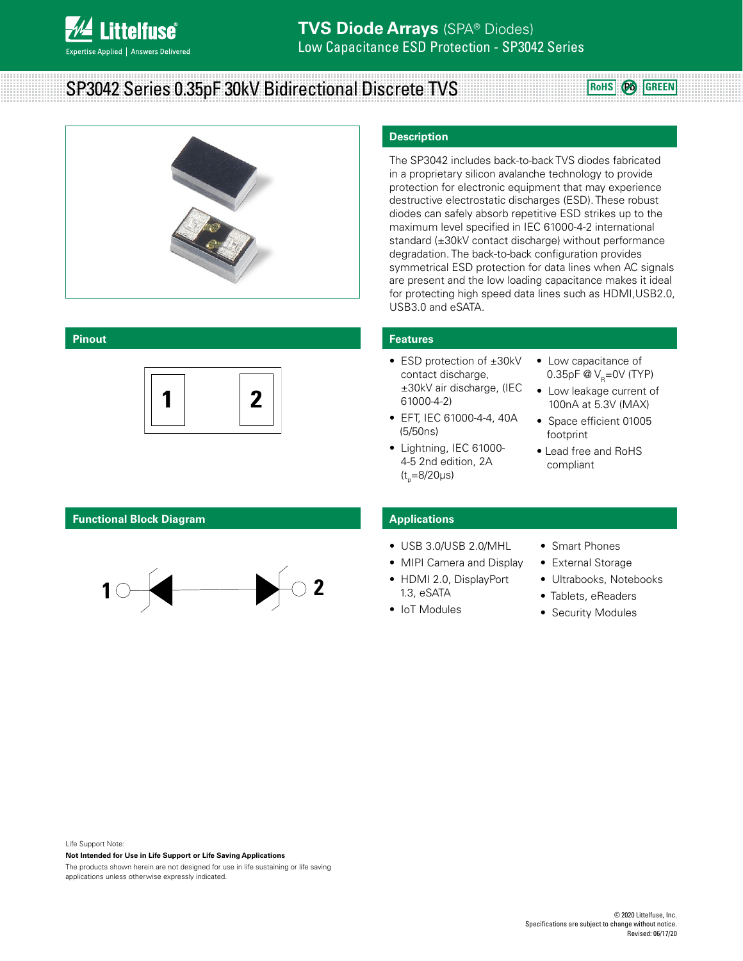

# **SP3042 Series 0.35pF 30kV Bidirectional Discrete TVS ROWS ROHS @** GREEN



#### **Pinout**



**0201 Flipchip**

## **Functional Block Diagram**



# **Description**

The SP3042 includes back-to-back TVS diodes fabricated in a proprietary silicon avalanche technology to provide protection for electronic equipment that may experience destructive electrostatic discharges (ESD). These robust diodes can safely absorb repetitive ESD strikes up to the maximum level specified in IEC 61000-4-2 international standard (±30kV contact discharge) without performance degradation. The back-to-back configuration provides symmetrical ESD protection for data lines when AC signals are present and the low loading capacitance makes it ideal for protecting high speed data lines such as HDMI,USB2.0, USB3.0 and eSATA.

# **Features**

- ESD protection of ±30kV contact discharge, ±30kV air discharge, (IEC 61000-4-2)
- EFT, IEC 61000-4-4, 40A (5/50ns)
- Lightning, IEC 61000- 4-5 2nd edition, 2A (t<sub>,</sub>=8/20µs)
- Low capacitance of 0.35pF  $\omega_{\text{p}}$ =0V (TYP)
- Low leakage current of 100nA at 5.3V (MAX)
- Space efficient 01005 footprint
- Lead free and RoHS compliant

## **Applications**

- USB 3.0/USB 2.0/MHL
- MIPI Camera and Display
- HDMI 2.0, DisplayPort 1.3, eSATA
- IoT Modules
- Smart Phones
- External Storage
- Ultrabooks, Notebooks
- Tablets, eReaders
- Security Modules

#### Life Support Note:

#### **Not Intended for Use in Life Support or Life Saving Applications**

The products shown herein are not designed for use in life sustaining or life saving applications unless otherwise expressly indicated.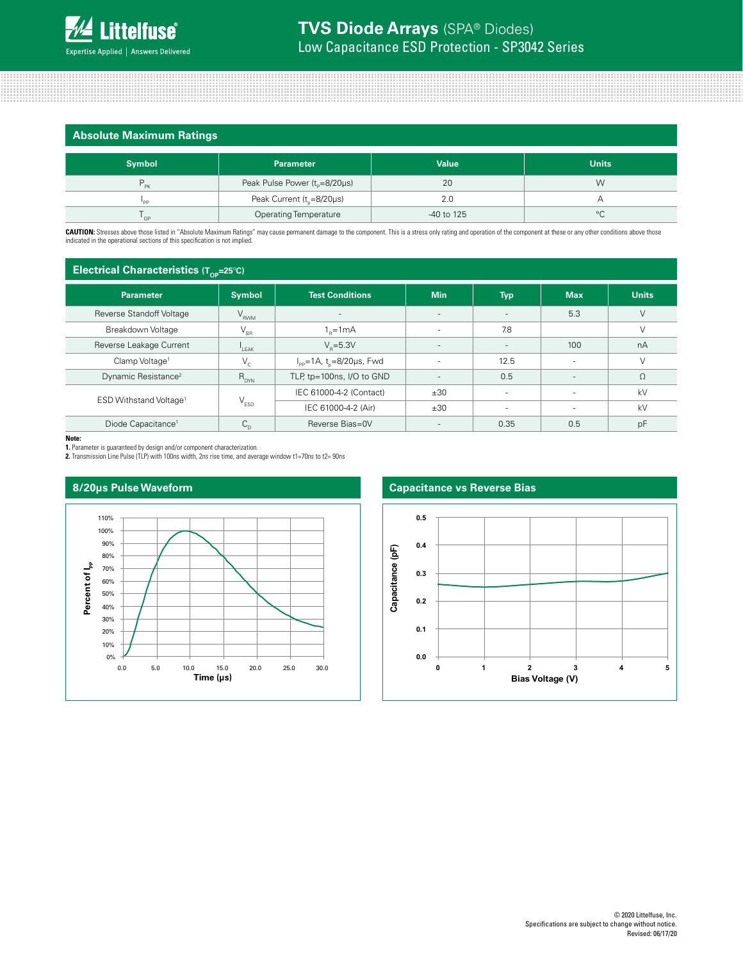| <b>Absolute Maximum Ratings</b> |                                       |              |              |  |  |  |
|---------------------------------|---------------------------------------|--------------|--------------|--|--|--|
| <b>Symbol</b>                   | <b>Parameter</b>                      | <b>Value</b> | <b>Units</b> |  |  |  |
| PK                              | Peak Pulse Power $(t_0=8/20\mu s)$    | 20           | W            |  |  |  |
| 'PP                             | Peak Current (t <sub>r</sub> =8/20µs) | 2.0          | Р            |  |  |  |
| ' OP                            | <b>Operating Temperature</b>          | -40 to 125   | $^{\circ}C$  |  |  |  |

**CAUTION:** Stresses above those listed in "Absolute Maximum Ratings" may cause permanent damage to the component. This is a stress only rating and operation of the component at these or any other conditions above those<br>ind

# **Electrical Characteristics (T<sub>op</sub>=25<sup>°</sup>C)**

| <b>Parameter</b>                   | <b>Symbol</b>               | <b>Test Conditions</b>                                     | <b>Min</b>               | <b>Typ</b>               | <b>Max</b>               | <b>Units</b> |
|------------------------------------|-----------------------------|------------------------------------------------------------|--------------------------|--------------------------|--------------------------|--------------|
| Reverse Standoff Voltage           | $V_{RWM}$                   |                                                            | $\overline{\phantom{a}}$ |                          | 5.3                      | V            |
| Breakdown Voltage                  | $V_{BR}$                    | $1_{\circ} = 1 \text{ mA}$                                 |                          | 7.8                      |                          | $\vee$       |
| Reverse Leakage Current            | $L$ EAK                     | $V_e = 5.3V$                                               |                          | $\overline{\phantom{a}}$ | 100                      | nA           |
| Clamp Voltage <sup>1</sup>         | $V_{c}$                     | $I_{\text{pp}} = 1 \text{A}$ , t <sub>n</sub> =8/20µs, Fwd |                          | 12.5                     |                          |              |
| Dynamic Resistance <sup>2</sup>    | $R_{DYN}$                   | TLP, tp=100ns, I/O to GND                                  | - 11                     | 0.5                      | $\overline{\phantom{a}}$ | $\Omega$     |
| ESD Withstand Voltage <sup>1</sup> |                             | IEC 61000-4-2 (Contact)                                    | ±30                      |                          |                          | kV           |
|                                    | $\mathsf{V}_{\texttt{ESD}}$ | IEC 61000-4-2 (Air)<br>±30                                 |                          | $\overline{\phantom{a}}$ | kV                       |              |
| Diode Capacitance <sup>1</sup>     | $C_{\rm D}$                 | Reverse Bias=0V                                            |                          | 0.35                     | 0.5                      | pF           |

**Note:**

**1.** Parameter is guaranteed by design and/or component characterization. **2.** Transmission Line Pulse (TLP) with 100ns width, 2ns rise time, and average window t1=70ns to t2= 90ns



# **Capacitance vs Reverse Bias**

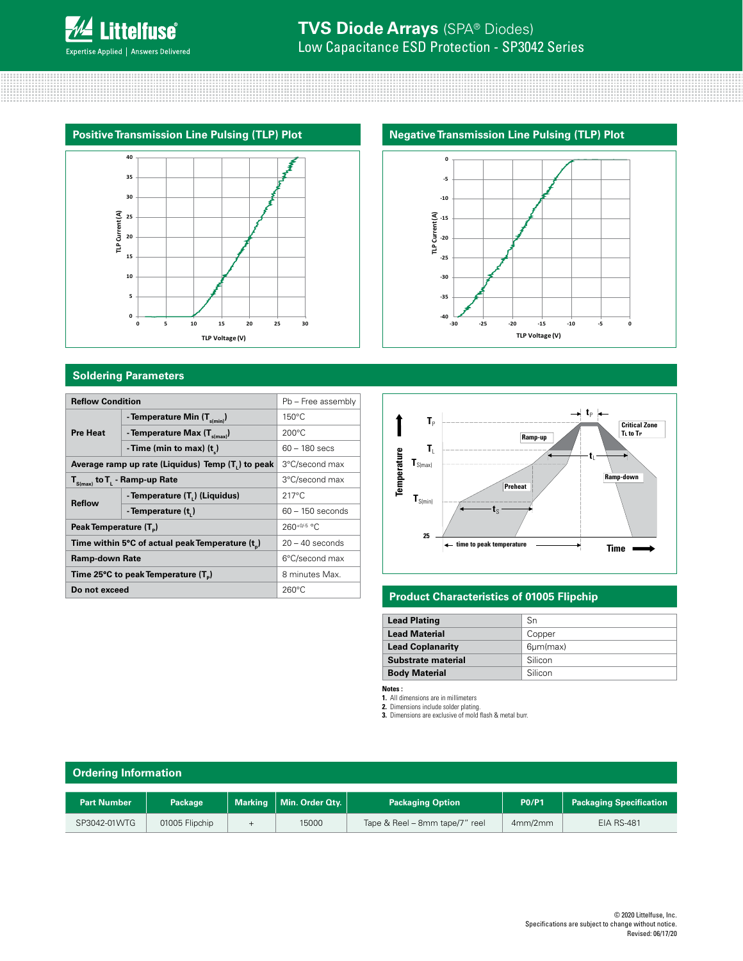

# **Soldering Parameters**

| <b>Reflow Condition</b>                                        | Pb - Free assembly |                                   |                              |                                                              |                                                                        |
|----------------------------------------------------------------|--------------------|-----------------------------------|------------------------------|--------------------------------------------------------------|------------------------------------------------------------------------|
| - Temperature Min $(T_{s(min)})$                               |                    |                                   |                              |                                                              |                                                                        |
| - Temperature Max $(T_{\text{simax}})$                         | $200^{\circ}$ C    |                                   |                              |                                                              |                                                                        |
| -Time (min to max) $(t)$                                       | $60 - 180$ secs    |                                   | T,                           |                                                              |                                                                        |
| Average ramp up rate (Liquidus) Temp (T <sub>1</sub> ) to peak | 3°C/second max     |                                   | $\textbf{T}_{\text{S(max)}}$ |                                                              |                                                                        |
| $T_{S(max)}$ to $T_{L}$ - Ramp-up Rate                         | 3°C/second max     |                                   |                              |                                                              | Ramp-d                                                                 |
| - Temperature (T.) (Liquidus)                                  | $217^{\circ}$ C    |                                   |                              |                                                              |                                                                        |
| - Temperature (t,)                                             | $60 - 150$ seconds |                                   |                              |                                                              |                                                                        |
| Peak Temperature (T <sub>a</sub> )                             | $260+0/5$ °C       |                                   |                              |                                                              |                                                                        |
| Time within 5°C of actual peak Temperature (t)                 | $20 - 40$ seconds  |                                   |                              | ← time to peak temperature                                   | Time                                                                   |
| <b>Ramp-down Rate</b>                                          |                    |                                   |                              |                                                              |                                                                        |
| Time 25°C to peak Temperature (T <sub>n</sub> )                | 8 minutes Max.     |                                   |                              |                                                              |                                                                        |
| Do not exceed                                                  | $260^{\circ}$ C    |                                   |                              |                                                              |                                                                        |
|                                                                |                    | $150^{\circ}$ C<br>6°C/second max |                              | $T_{P}$<br>Temperature<br>$\textbf{T}_{\text{S(min)}}$<br>25 | Ramp-up<br>Preheat<br><b>Draduat Characteristics of 0100E Elizabin</b> |





# **Product Characteristics of 01005 Flipchip**

| <b>Lead Plating</b>     | Sn              |
|-------------------------|-----------------|
| <b>Lead Material</b>    | Copper          |
| <b>Lead Coplanarity</b> | $6 \mu m$ (max) |
| Substrate material      | Silicon         |
| <b>Body Material</b>    | Silicon         |

**Notes :** 

**1.** All dimensions are in millimeters **2.** Dimensions include solder plating. **3.** Dimensions are exclusive of mold flash & metal burr.

| <b>Ordering Information</b> |                |                |                 |                                |              |                                |
|-----------------------------|----------------|----------------|-----------------|--------------------------------|--------------|--------------------------------|
| <b>Part Number</b>          | Package        | <b>Marking</b> | Min. Order Qty. | <b>Packaging Option</b>        | <b>P0/P1</b> | <b>Packaging Specification</b> |
| SP3042-01WTG                | 01005 Flipchip |                | 15000           | Tape & Reel - 8mm tape/7" reel | 4mm/2mm      | <b>EIA RS-481</b>              |